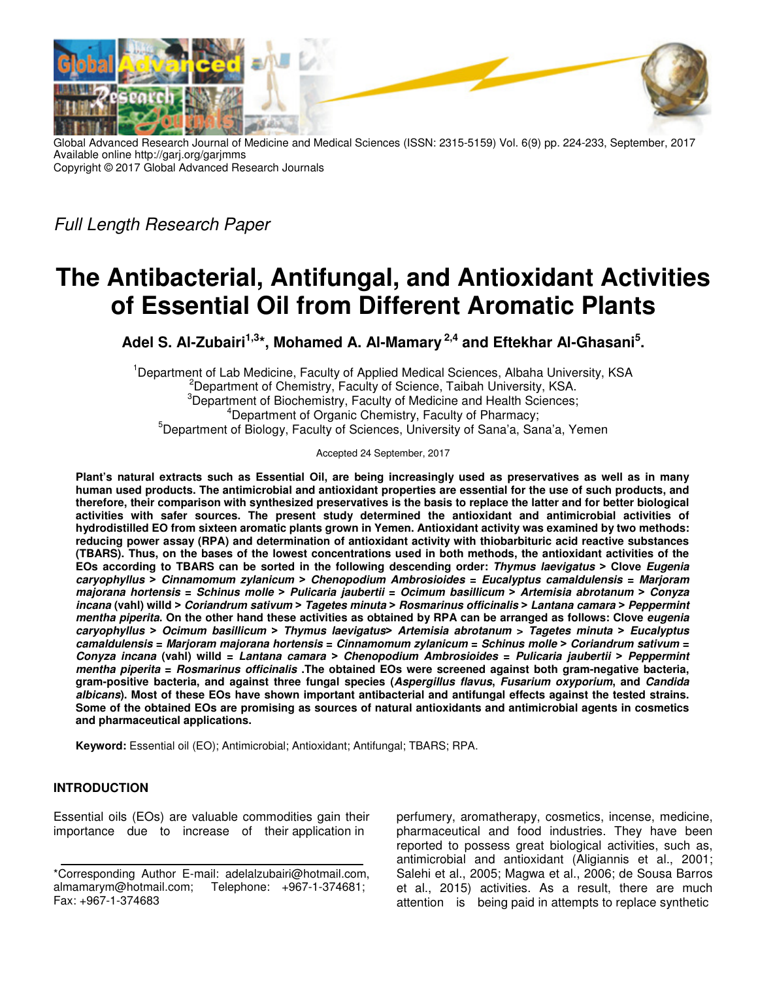

Global Advanced Research Journal of Medicine and Medical Sciences (ISSN: 2315-5159) Vol. 6(9) pp. 224-233, September, 2017 Available online http://garj.org/garjmms Copyright © 2017 Global Advanced Research Journals

Full Length Research Paper

# **The Antibacterial, Antifungal, and Antioxidant Activities of Essential Oil from Different Aromatic Plants**

**Adel S. Al-Zubairi1,3\*, Mohamed A. Al-Mamary 2,4 and Eftekhar Al-Ghasani<sup>5</sup> .** 

<sup>1</sup>Department of Lab Medicine, Faculty of Applied Medical Sciences, Albaha University, KSA <sup>2</sup>Department of Chemistry, Faculty of Science, Taibah University, KSA. <sup>3</sup>Department of Biochemistry, Faculty of Medicine and Health Sciences; <sup>4</sup>Department of Organic Chemistry, Faculty of Pharmacy; <sup>5</sup>Department of Biology, Faculty of Sciences, University of Sana'a, Sana'a, Yemen

Accepted 24 September, 2017

**Plant's natural extracts such as Essential Oil, are being increasingly used as preservatives as well as in many human used products. The antimicrobial and antioxidant properties are essential for the use of such products, and therefore, their comparison with synthesized preservatives is the basis to replace the latter and for better biological activities with safer sources. The present study determined the antioxidant and antimicrobial activities of hydrodistilled EO from sixteen aromatic plants grown in Yemen. Antioxidant activity was examined by two methods: reducing power assay (RPA) and determination of antioxidant activity with thiobarbituric acid reactive substances (TBARS). Thus, on the bases of the lowest concentrations used in both methods, the antioxidant activities of the EOs according to TBARS can be sorted in the following descending order: Thymus laevigatus ˃ Clove Eugenia caryophyllus ˃ Cinnamomum zylanicum ˃ Chenopodium Ambrosioides = Eucalyptus camaldulensis = Marjoram majorana hortensis = Schinus molle ˃ Pulicaria jaubertii = Ocimum basillicum ˃ Artemisia abrotanum ˃ Conyza incana (vahl) willd ˃ Coriandrum sativum ˃ Tagetes minuta ˃ Rosmarinus officinalis ˃ Lantana camara ˃ Peppermint mentha piperita. On the other hand these activities as obtained by RPA can be arranged as follows: Clove eugenia caryophyllus ˃ Ocimum basillicum ˃ Thymus laevigatus˃ Artemisia abrotanum > Tagetes minuta ˃ Eucalyptus camaldulensis = Marjoram majorana hortensis = Cinnamomum zylanicum = Schinus molle ˃ Coriandrum sativum = Conyza incana (vahl) willd = Lantana camara ˃ Chenopodium Ambrosioides = Pulicaria jaubertii ˃ Peppermint mentha piperita = Rosmarinus officinalis .The obtained EOs were screened against both gram-negative bacteria, gram-positive bacteria, and against three fungal species (Aspergillus flavus, Fusarium oxyporium, and Candida albicans). Most of these EOs have shown important antibacterial and antifungal effects against the tested strains. Some of the obtained EOs are promising as sources of natural antioxidants and antimicrobial agents in cosmetics and pharmaceutical applications.** 

**Keyword:** Essential oil (EO); Antimicrobial; Antioxidant; Antifungal; TBARS; RPA.

# **INTRODUCTION**

Essential oils (EOs) are valuable commodities gain their importance due to increase of their application in

perfumery, aromatherapy, cosmetics, incense, medicine, pharmaceutical and food industries. They have been reported to possess great biological activities, such as, antimicrobial and antioxidant (Aligiannis et al., 2001; Salehi et al., 2005; Magwa et al., 2006; de Sousa Barros et al., 2015) activities. As a result, there are much attention is being paid in attempts to replace synthetic

<sup>\*</sup>Corresponding Author E-mail: adelalzubairi@hotmail.com, almamarym@hotmail.com; Telephone: +967-1-374681; Fax: +967-1-374683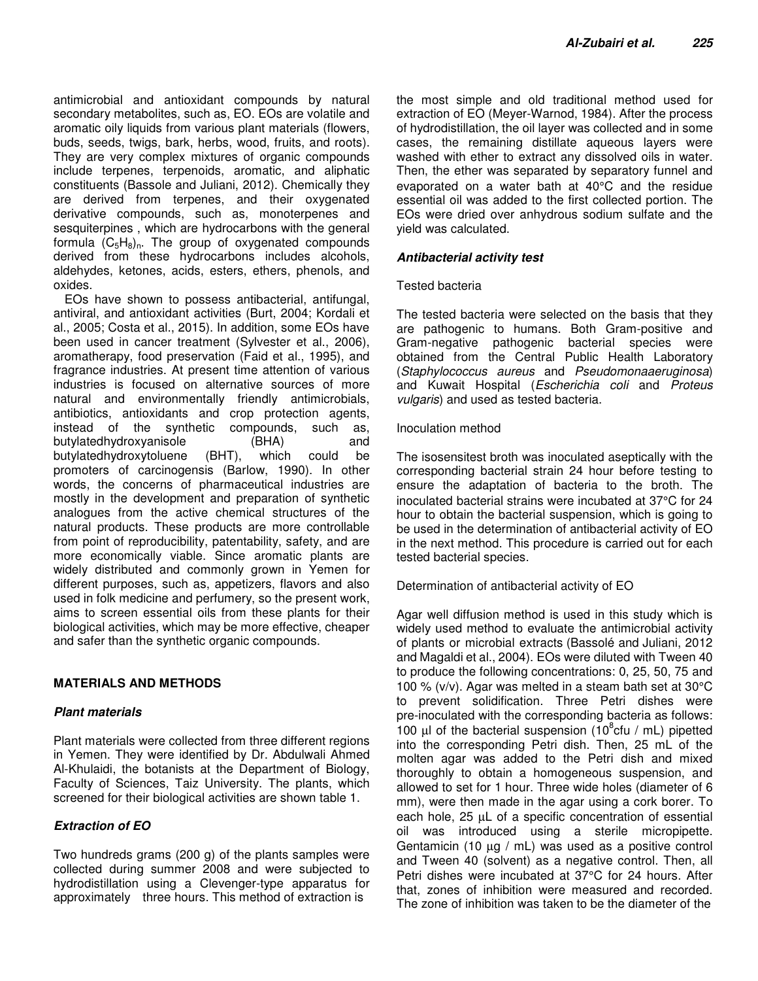antimicrobial and antioxidant compounds by natural secondary metabolites, such as, EO. EOs are volatile and aromatic oily liquids from various plant materials (flowers, buds, seeds, twigs, bark, herbs, wood, fruits, and roots). They are very complex mixtures of organic compounds include terpenes, terpenoids, aromatic, and aliphatic constituents (Bassole and Juliani, 2012). Chemically they are derived from terpenes, and their oxygenated derivative compounds, such as, monoterpenes and sesquiterpines , which are hydrocarbons with the general formula  $(C_5H_8)_n$ . The group of oxygenated compounds derived from these hydrocarbons includes alcohols, aldehydes, ketones, acids, esters, ethers, phenols, and oxides.

EOs have shown to possess antibacterial, antifungal, antiviral, and antioxidant activities (Burt, 2004; Kordali et al., 2005; Costa et al., 2015). In addition, some EOs have been used in cancer treatment (Sylvester et al., 2006), aromatherapy, food preservation (Faid et al., 1995), and fragrance industries. At present time attention of various industries is focused on alternative sources of more natural and environmentally friendly antimicrobials, antibiotics, antioxidants and crop protection agents, instead of the synthetic compounds, such as, butylatedhydroxyanisole (BHA) and<br>butylatedhydroxytoluene (BHT), which could be butylatedhydroxytoluene (BHT), promoters of carcinogensis (Barlow, 1990). In other words, the concerns of pharmaceutical industries are mostly in the development and preparation of synthetic analogues from the active chemical structures of the natural products. These products are more controllable from point of reproducibility, patentability, safety, and are more economically viable. Since aromatic plants are widely distributed and commonly grown in Yemen for different purposes, such as, appetizers, flavors and also used in folk medicine and perfumery, so the present work, aims to screen essential oils from these plants for their biological activities, which may be more effective, cheaper and safer than the synthetic organic compounds.

# **MATERIALS AND METHODS**

#### **Plant materials**

Plant materials were collected from three different regions in Yemen. They were identified by Dr. Abdulwali Ahmed Al-Khulaidi, the botanists at the Department of Biology, Faculty of Sciences, Taiz University. The plants, which screened for their biological activities are shown table 1.

# **Extraction of EO**

Two hundreds grams (200 g) of the plants samples were collected during summer 2008 and were subjected to hydrodistillation using a Clevenger-type apparatus for approximately three hours. This method of extraction is

the most simple and old traditional method used for extraction of EO (Meyer-Warnod, 1984). After the process of hydrodistillation, the oil layer was collected and in some cases, the remaining distillate aqueous layers were washed with ether to extract any dissolved oils in water. Then, the ether was separated by separatory funnel and evaporated on a water bath at 40°C and the residue essential oil was added to the first collected portion. The EOs were dried over anhydrous sodium sulfate and the yield was calculated.

### **Antibacterial activity test**

### Tested bacteria

The tested bacteria were selected on the basis that they are pathogenic to humans. Both Gram-positive and Gram-negative pathogenic bacterial species were obtained from the Central Public Health Laboratory (Staphylococcus aureus and Pseudomonaaeruginosa) and Kuwait Hospital (Escherichia coli and Proteus vulgaris) and used as tested bacteria.

### Inoculation method

The isosensitest broth was inoculated aseptically with the corresponding bacterial strain 24 hour before testing to ensure the adaptation of bacteria to the broth. The inoculated bacterial strains were incubated at 37°C for 24 hour to obtain the bacterial suspension, which is going to be used in the determination of antibacterial activity of EO in the next method. This procedure is carried out for each tested bacterial species.

#### Determination of antibacterial activity of EO

Agar well diffusion method is used in this study which is widely used method to evaluate the antimicrobial activity of plants or microbial extracts (Bassolé and Juliani, 2012 and Magaldi et al., 2004). EOs were diluted with Tween 40 to produce the following concentrations: 0, 25, 50, 75 and 100 % (v/v). Agar was melted in a steam bath set at 30°C to prevent solidification. Three Petri dishes were pre-inoculated with the corresponding bacteria as follows: 100  $\mu$ l of the bacterial suspension (10 $^8$ cfu / mL) pipetted into the corresponding Petri dish. Then, 25 mL of the molten agar was added to the Petri dish and mixed thoroughly to obtain a homogeneous suspension, and allowed to set for 1 hour. Three wide holes (diameter of 6 mm), were then made in the agar using a cork borer. To each hole, 25 µL of a specific concentration of essential oil was introduced using a sterile micropipette. Gentamicin (10 µg / mL) was used as a positive control and Tween 40 (solvent) as a negative control. Then, all Petri dishes were incubated at 37°C for 24 hours. After that, zones of inhibition were measured and recorded. The zone of inhibition was taken to be the diameter of the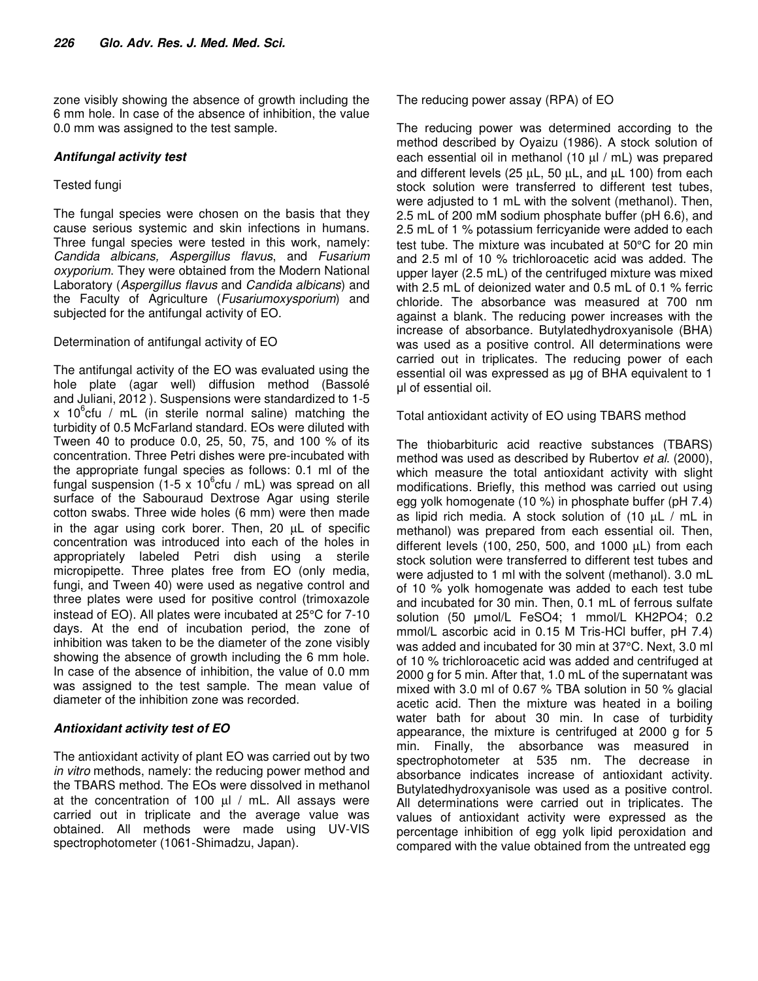zone visibly showing the absence of growth including the 6 mm hole. In case of the absence of inhibition, the value 0.0 mm was assigned to the test sample.

### **Antifungal activity test**

## Tested fungi

The fungal species were chosen on the basis that they cause serious systemic and skin infections in humans. Three fungal species were tested in this work, namely: Candida albicans, Aspergillus flavus, and Fusarium oxyporium. They were obtained from the Modern National Laboratory (Aspergillus flavus and Candida albicans) and the Faculty of Agriculture (Fusariumoxysporium) and subjected for the antifungal activity of EO.

### Determination of antifungal activity of EO

The antifungal activity of the EO was evaluated using the hole plate (agar well) diffusion method (Bassolé and Juliani, 2012 ). Suspensions were standardized to 1-5 x 10 $^{\circ}$ cfu / mL (in sterile normal saline) matching the turbidity of 0.5 McFarland standard. EOs were diluted with Tween 40 to produce 0.0, 25, 50, 75, and 100 % of its concentration. Three Petri dishes were pre-incubated with the appropriate fungal species as follows: 0.1 ml of the fungal suspension (1-5 x 10 $^6$ cfu / mL) was spread on all surface of the Sabouraud Dextrose Agar using sterile cotton swabs. Three wide holes (6 mm) were then made in the agar using cork borer. Then, 20 µL of specific concentration was introduced into each of the holes in appropriately labeled Petri dish using a sterile micropipette. Three plates free from EO (only media, fungi, and Tween 40) were used as negative control and three plates were used for positive control (trimoxazole instead of EO). All plates were incubated at 25°C for 7-10 days. At the end of incubation period, the zone of inhibition was taken to be the diameter of the zone visibly showing the absence of growth including the 6 mm hole. In case of the absence of inhibition, the value of 0.0 mm was assigned to the test sample. The mean value of diameter of the inhibition zone was recorded.

# **Antioxidant activity test of EO**

The antioxidant activity of plant EO was carried out by two in vitro methods, namely: the reducing power method and the TBARS method. The EOs were dissolved in methanol at the concentration of 100  $\mu$  / mL. All assays were carried out in triplicate and the average value was obtained. All methods were made using UV-VIS spectrophotometer (1061-Shimadzu, Japan).

The reducing power assay (RPA) of EO

The reducing power was determined according to the method described by Oyaizu (1986). A stock solution of each essential oil in methanol (10 µl / mL) was prepared and different levels (25  $\mu$ L, 50  $\mu$ L, and  $\mu$ L 100) from each stock solution were transferred to different test tubes, were adjusted to 1 mL with the solvent (methanol). Then, 2.5 mL of 200 mM sodium phosphate buffer (pH 6.6), and 2.5 mL of 1 % potassium ferricyanide were added to each test tube. The mixture was incubated at 50°C for 20 min and 2.5 ml of 10 % trichloroacetic acid was added. The upper layer (2.5 mL) of the centrifuged mixture was mixed with 2.5 mL of deionized water and 0.5 mL of 0.1 % ferric chloride. The absorbance was measured at 700 nm against a blank. The reducing power increases with the increase of absorbance. Butylatedhydroxyanisole (BHA) was used as a positive control. All determinations were carried out in triplicates. The reducing power of each essential oil was expressed as µg of BHA equivalent to 1 µl of essential oil.

Total antioxidant activity of EO using TBARS method

The thiobarbituric acid reactive substances (TBARS) method was used as described by Rubertov et al. (2000), which measure the total antioxidant activity with slight modifications. Briefly, this method was carried out using egg yolk homogenate (10 %) in phosphate buffer (pH 7.4) as lipid rich media. A stock solution of  $(10 \mu L / mL)$  in methanol) was prepared from each essential oil. Then, different levels (100, 250, 500, and 1000 µL) from each stock solution were transferred to different test tubes and were adjusted to 1 ml with the solvent (methanol). 3.0 mL of 10 % yolk homogenate was added to each test tube and incubated for 30 min. Then, 0.1 mL of ferrous sulfate solution (50 µmol/L FeSO4; 1 mmol/L KH2PO4; 0.2 mmol/L ascorbic acid in 0.15 M Tris-HCl buffer, pH 7.4) was added and incubated for 30 min at 37°C. Next, 3.0 ml of 10 % trichloroacetic acid was added and centrifuged at 2000 g for 5 min. After that, 1.0 mL of the supernatant was mixed with 3.0 ml of 0.67 % TBA solution in 50 % glacial acetic acid. Then the mixture was heated in a boiling water bath for about 30 min. In case of turbidity appearance, the mixture is centrifuged at 2000 g for 5 min. Finally, the absorbance was measured in spectrophotometer at 535 nm. The decrease in absorbance indicates increase of antioxidant activity. Butylatedhydroxyanisole was used as a positive control. All determinations were carried out in triplicates. The values of antioxidant activity were expressed as the percentage inhibition of egg yolk lipid peroxidation and compared with the value obtained from the untreated egg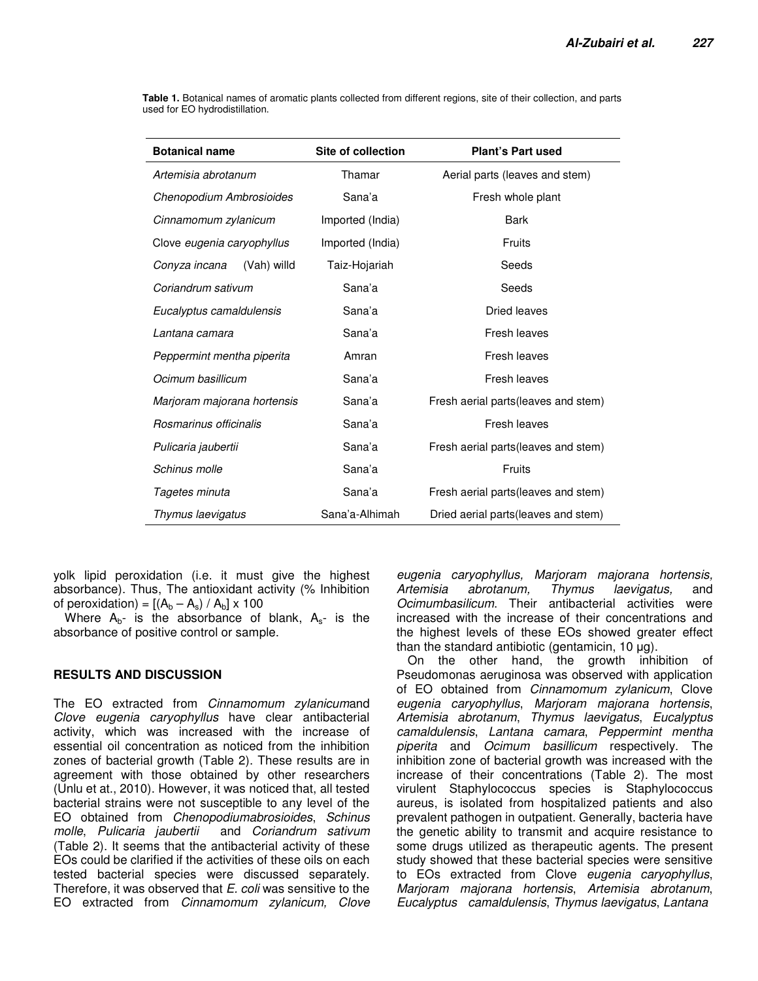| <b>Botanical name</b>        | Site of collection | <b>Plant's Part used</b>             |  |  |  |  |  |  |
|------------------------------|--------------------|--------------------------------------|--|--|--|--|--|--|
| Artemisia abrotanum          | Thamar             | Aerial parts (leaves and stem)       |  |  |  |  |  |  |
| Chenopodium Ambrosioides     | Sana'a             | Fresh whole plant                    |  |  |  |  |  |  |
| Cinnamomum zylanicum         | Imported (India)   | <b>Bark</b>                          |  |  |  |  |  |  |
| Clove eugenia caryophyllus   | Imported (India)   | <b>Fruits</b>                        |  |  |  |  |  |  |
| Conyza incana<br>(Vah) willd | Taiz-Hojariah      | Seeds                                |  |  |  |  |  |  |
| Coriandrum sativum           | Sana'a             | Seeds                                |  |  |  |  |  |  |
| Eucalyptus camaldulensis     | Sana'a             | <b>Dried leaves</b>                  |  |  |  |  |  |  |
| Lantana camara               | Sana'a             | Fresh leaves                         |  |  |  |  |  |  |
| Peppermint mentha piperita   | Amran              | Fresh leaves                         |  |  |  |  |  |  |
| Ocimum basillicum            | Sana'a             | Fresh leaves                         |  |  |  |  |  |  |
| Marjoram majorana hortensis  | Sana'a             | Fresh aerial parts (leaves and stem) |  |  |  |  |  |  |
| Rosmarinus officinalis       | Sana'a             | Fresh leaves                         |  |  |  |  |  |  |
| Pulicaria jaubertii          | Sana'a             | Fresh aerial parts (leaves and stem) |  |  |  |  |  |  |
| Schinus molle                | Sana'a             | Fruits                               |  |  |  |  |  |  |
| Tagetes minuta               | Sana'a             | Fresh aerial parts (leaves and stem) |  |  |  |  |  |  |
| Thymus laevigatus            | Sana'a-Alhimah     | Dried aerial parts (leaves and stem) |  |  |  |  |  |  |

**Table 1.** Botanical names of aromatic plants collected from different regions, site of their collection, and parts used for EO hydrodistillation.

yolk lipid peroxidation (i.e. it must give the highest absorbance). Thus, The antioxidant activity (% Inhibition of peroxidation) =  $[(A_b - A_s) / A_b] \times 100$ 

Where  $A_{b}$ - is the absorbance of blank,  $A_{s}$ - is the absorbance of positive control or sample.

# **RESULTS AND DISCUSSION**

The EO extracted from Cinnamomum zylanicumand Clove eugenia caryophyllus have clear antibacterial activity, which was increased with the increase of essential oil concentration as noticed from the inhibition zones of bacterial growth (Table 2). These results are in agreement with those obtained by other researchers (Unlu et at., 2010). However, it was noticed that, all tested bacterial strains were not susceptible to any level of the EO obtained from Chenopodiumabrosioides, Schinus molle, Pulicaria jaubertii and Coriandrum sativum (Table 2). It seems that the antibacterial activity of these EOs could be clarified if the activities of these oils on each tested bacterial species were discussed separately. Therefore, it was observed that E. coli was sensitive to the EO extracted from Cinnamomum zylanicum, Clove

eugenia caryophyllus, Marjoram majorana hortensis, Artemisia abrotanum, Thymus laevigatus, and Ocimumbasilicum. Their antibacterial activities were increased with the increase of their concentrations and the highest levels of these EOs showed greater effect than the standard antibiotic (gentamicin,  $10 \mu g$ ).

On the other hand, the growth inhibition of Pseudomonas aeruginosa was observed with application of EO obtained from Cinnamomum zylanicum, Clove eugenia caryophyllus, Marjoram majorana hortensis, Artemisia abrotanum, Thymus laevigatus, Eucalyptus camaldulensis, Lantana camara, Peppermint mentha piperita and Ocimum basillicum respectively. The inhibition zone of bacterial growth was increased with the increase of their concentrations (Table 2). The most virulent Staphylococcus species is Staphylococcus aureus, is isolated from hospitalized patients and also prevalent pathogen in outpatient. Generally, bacteria have the genetic ability to transmit and acquire resistance to some drugs utilized as therapeutic agents. The present study showed that these bacterial species were sensitive to EOs extracted from Clove eugenia caryophyllus, Marjoram majorana hortensis, Artemisia abrotanum, Eucalyptus camaldulensis, Thymus laevigatus, Lantana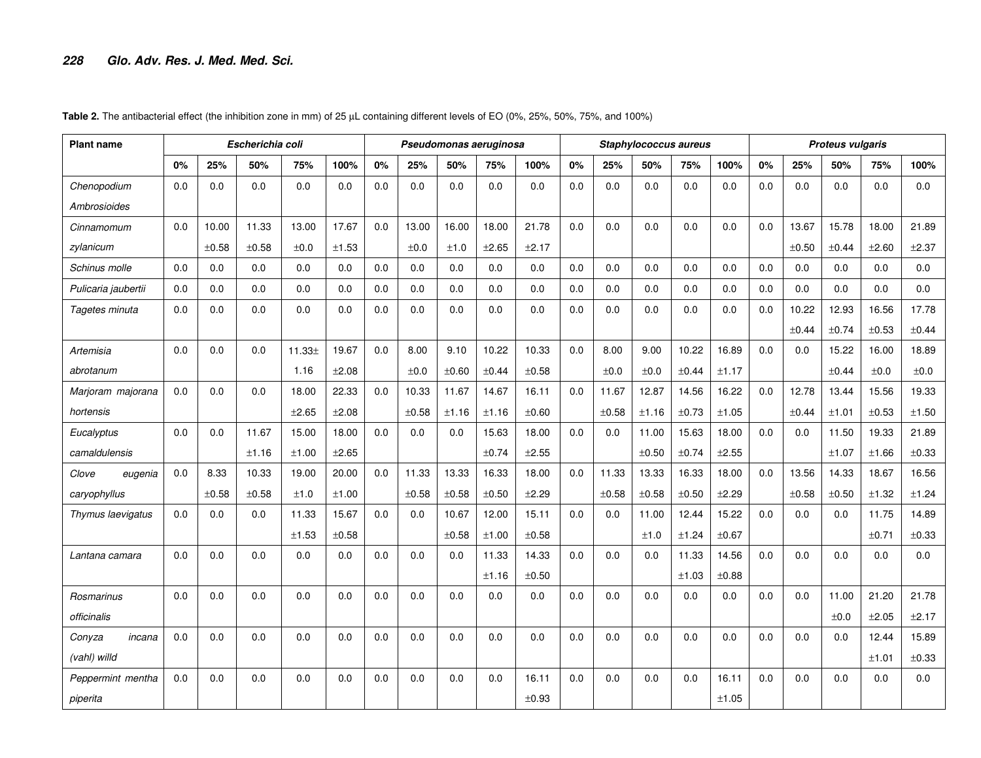| <b>Plant name</b>   |     |       | Escherichia coli |                    |       |     |       |       | Pseudomonas aeruginosa |       |     |       | Staphylococcus aureus |       |       | <b>Proteus vulgaris</b> |       |       |       |            |
|---------------------|-----|-------|------------------|--------------------|-------|-----|-------|-------|------------------------|-------|-----|-------|-----------------------|-------|-------|-------------------------|-------|-------|-------|------------|
|                     | 0%  | 25%   | 50%              | 75%                | 100%  | 0%  | 25%   | 50%   | 75%                    | 100%  | 0%  | 25%   | 50%                   | 75%   | 100%  | 0%                      | 25%   | 50%   | 75%   | 100%       |
| Chenopodium         | 0.0 | 0.0   | 0.0              | 0.0                | 0.0   | 0.0 | 0.0   | 0.0   | 0.0                    | 0.0   | 0.0 | 0.0   | 0.0                   | 0.0   | 0.0   | 0.0                     | 0.0   | 0.0   | 0.0   | 0.0        |
| <b>Ambrosioides</b> |     |       |                  |                    |       |     |       |       |                        |       |     |       |                       |       |       |                         |       |       |       |            |
| Cinnamomum          | 0.0 | 10.00 | 11.33            | 13.00              | 17.67 | 0.0 | 13.00 | 16.00 | 18.00                  | 21.78 | 0.0 | 0.0   | 0.0                   | 0.0   | 0.0   | 0.0                     | 13.67 | 15.78 | 18.00 | 21.89      |
| zylanicum           |     | ±0.58 | ±0.58            | ±0.0               | ±1.53 |     | ±0.0  | ±1.0  | ±2.65                  | ±2.17 |     |       |                       |       |       |                         | ±0.50 | ±0.44 | ±2.60 | ±2.37      |
| Schinus molle       | 0.0 | 0.0   | 0.0              | 0.0                | 0.0   | 0.0 | 0.0   | 0.0   | 0.0                    | 0.0   | 0.0 | 0.0   | 0.0                   | 0.0   | 0.0   | 0.0                     | 0.0   | 0.0   | 0.0   | 0.0        |
| Pulicaria jaubertii | 0.0 | 0.0   | 0.0              | 0.0                | 0.0   | 0.0 | 0.0   | 0.0   | 0.0                    | 0.0   | 0.0 | 0.0   | 0.0                   | 0.0   | 0.0   | 0.0                     | 0.0   | 0.0   | 0.0   | 0.0        |
| Tagetes minuta      | 0.0 | 0.0   | 0.0              | 0.0                | 0.0   | 0.0 | 0.0   | 0.0   | 0.0                    | 0.0   | 0.0 | 0.0   | 0.0                   | 0.0   | 0.0   | 0.0                     | 10.22 | 12.93 | 16.56 | 17.78      |
|                     |     |       |                  |                    |       |     |       |       |                        |       |     |       |                       |       |       |                         | ±0.44 | ±0.74 | ±0.53 | ±0.44      |
| Artemisia           | 0.0 | 0.0   | 0.0              | 11.33 <sup>±</sup> | 19.67 | 0.0 | 8.00  | 9.10  | 10.22                  | 10.33 | 0.0 | 8.00  | 9.00                  | 10.22 | 16.89 | 0.0                     | 0.0   | 15.22 | 16.00 | 18.89      |
| abrotanum           |     |       |                  | 1.16               | ±2.08 |     | ±0.0  | ±0.60 | ±0.44                  | ±0.58 |     | ±0.0  | ±0.0                  | ±0.44 | ±1.17 |                         |       | ±0.44 | ±0.0  | ±0.0       |
| Marjoram majorana   | 0.0 | 0.0   | 0.0              | 18.00              | 22.33 | 0.0 | 10.33 | 11.67 | 14.67                  | 16.11 | 0.0 | 11.67 | 12.87                 | 14.56 | 16.22 | 0.0                     | 12.78 | 13.44 | 15.56 | 19.33      |
| hortensis           |     |       |                  | ±2.65              | ±2.08 |     | ±0.58 | ±1.16 | ±1.16                  | ±0.60 |     | ±0.58 | ±1.16                 | ±0.73 | ±1.05 |                         | ±0.44 | ±1.01 | ±0.53 | ±1.50      |
| Eucalyptus          | 0.0 | 0.0   | 11.67            | 15.00              | 18.00 | 0.0 | 0.0   | 0.0   | 15.63                  | 18.00 | 0.0 | 0.0   | 11.00                 | 15.63 | 18.00 | 0.0                     | 0.0   | 11.50 | 19.33 | 21.89      |
| camaldulensis       |     |       | ±1.16            | ±1.00              | ±2.65 |     |       |       | ±0.74                  | ±2.55 |     |       | ±0.50                 | ±0.74 | ±2.55 |                         |       | ±1.07 | ±1.66 | $\pm 0.33$ |
| Clove<br>eugenia    | 0.0 | 8.33  | 10.33            | 19.00              | 20.00 | 0.0 | 11.33 | 13.33 | 16.33                  | 18.00 | 0.0 | 11.33 | 13.33                 | 16.33 | 18.00 | 0.0                     | 13.56 | 14.33 | 18.67 | 16.56      |
| caryophyllus        |     | ±0.58 | ±0.58            | ±1.0               | ±1.00 |     | ±0.58 | ±0.58 | ±0.50                  | ±2.29 |     | ±0.58 | ±0.58                 | ±0.50 | ±2.29 |                         | ±0.58 | ±0.50 | ±1.32 | ±1.24      |
| Thymus laevigatus   | 0.0 | 0.0   | 0.0              | 11.33              | 15.67 | 0.0 | 0.0   | 10.67 | 12.00                  | 15.11 | 0.0 | 0.0   | 11.00                 | 12.44 | 15.22 | 0.0                     | 0.0   | 0.0   | 11.75 | 14.89      |
|                     |     |       |                  | ±1.53              | ±0.58 |     |       | ±0.58 | ±1.00                  | ±0.58 |     |       | ±1.0                  | ±1.24 | ±0.67 |                         |       |       | ±0.71 | ±0.33      |
| Lantana camara      | 0.0 | 0.0   | 0.0              | 0.0                | 0.0   | 0.0 | 0.0   | 0.0   | 11.33                  | 14.33 | 0.0 | 0.0   | 0.0                   | 11.33 | 14.56 | 0.0                     | 0.0   | 0.0   | 0.0   | 0.0        |
|                     |     |       |                  |                    |       |     |       |       | ±1.16                  | ±0.50 |     |       |                       | ±1.03 | ±0.88 |                         |       |       |       |            |
| Rosmarinus          | 0.0 | 0.0   | 0.0              | 0.0                | 0.0   | 0.0 | 0.0   | 0.0   | 0.0                    | 0.0   | 0.0 | 0.0   | 0.0                   | 0.0   | 0.0   | 0.0                     | 0.0   | 11.00 | 21.20 | 21.78      |
| officinalis         |     |       |                  |                    |       |     |       |       |                        |       |     |       |                       |       |       |                         |       | ±0.0  | ±2.05 | ±2.17      |
| Conyza<br>incana    | 0.0 | 0.0   | 0.0              | 0.0                | 0.0   | 0.0 | 0.0   | 0.0   | 0.0                    | 0.0   | 0.0 | 0.0   | 0.0                   | 0.0   | 0.0   | 0.0                     | 0.0   | 0.0   | 12.44 | 15.89      |
| (vahl) willd        |     |       |                  |                    |       |     |       |       |                        |       |     |       |                       |       |       |                         |       |       | ±1.01 | ±0.33      |
| Peppermint mentha   | 0.0 | 0.0   | 0.0              | 0.0                | 0.0   | 0.0 | 0.0   | 0.0   | 0.0                    | 16.11 | 0.0 | 0.0   | 0.0                   | 0.0   | 16.11 | 0.0                     | 0.0   | 0.0   | 0.0   | 0.0        |
| piperita            |     |       |                  |                    |       |     |       |       |                        | ±0.93 |     |       |                       |       | ±1.05 |                         |       |       |       |            |

Table 2. The antibacterial effect (the inhibition zone in mm) of 25 µL containing different levels of EO (0%, 25%, 50%, 75%, and 100%)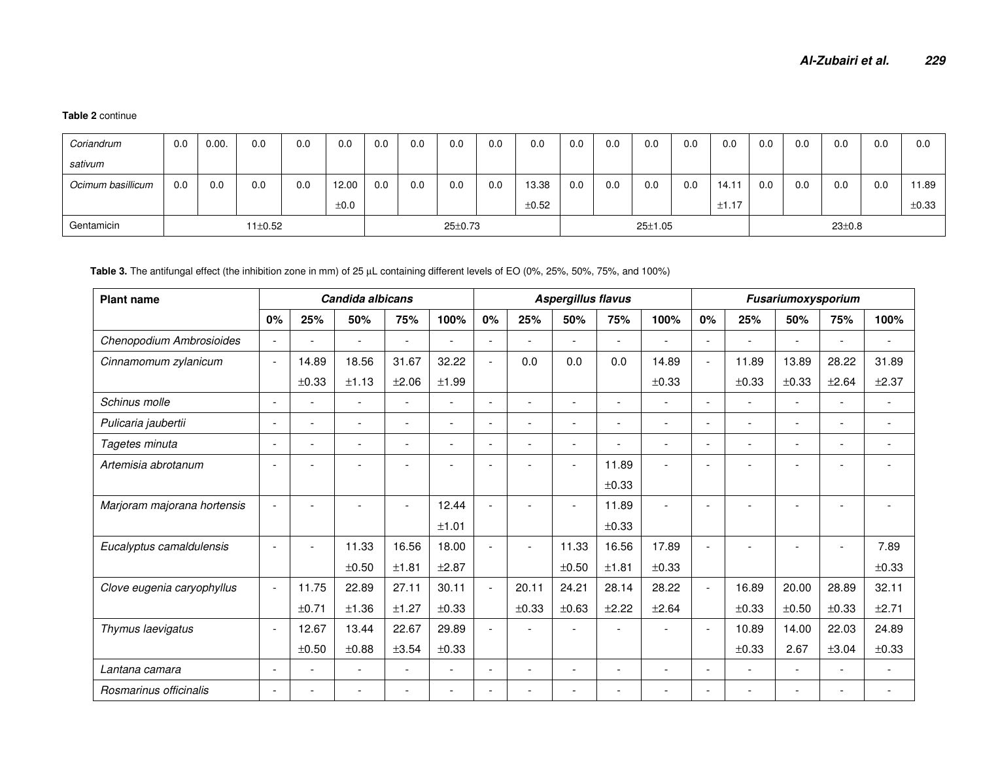#### **Table 2** continue

| Coriandrum        | 0.0 | 0.00. | 0.0           | 0.0 | 0.0       | 0.0 | 0.0 | 0.0           | 0.0 | 0.0   | 0.0 | 0.0 | 0.0           | 0.0 | 0.0   | 0.0          | 0.0 | 0.0 | 0.0 | 0.0        |
|-------------------|-----|-------|---------------|-----|-----------|-----|-----|---------------|-----|-------|-----|-----|---------------|-----|-------|--------------|-----|-----|-----|------------|
| sativum           |     |       |               |     |           |     |     |               |     |       |     |     |               |     |       |              |     |     |     |            |
| Ocimum basillicum | 0.0 | 0.0   | 0.0           | 0.0 | 12.00     | 0.0 | 0.0 | 0.0           | 0.0 | 13.38 | 0.0 | 0.0 | 0.0           | 0.0 | 14.11 | 0.0          | 0.0 | 0.0 | 0.0 | ' 1.89     |
|                   |     |       |               |     | $\pm 0.0$ |     |     |               |     | ±0.52 |     |     |               |     | ±1.17 |              |     |     |     | $\pm 0.33$ |
| Gentamicin        |     |       | $11 \pm 0.52$ |     |           |     |     | $25 \pm 0.73$ |     |       |     |     | $25 \pm 1.05$ |     |       | $23 \pm 0.8$ |     |     |     |            |

#### **Table 3.** The antifungal effect (the inhibition zone in mm) of 25 µL containing different levels of EO (0%, 25%, 50%, 75%, and 100%)

| <b>Plant name</b>           |                          |                          | Candida albicans         |                          |                          |                          |       | <b>Aspergillus flavus</b> |                          |                          | Fusariumoxysporium       |                          |                          |                          |                          |
|-----------------------------|--------------------------|--------------------------|--------------------------|--------------------------|--------------------------|--------------------------|-------|---------------------------|--------------------------|--------------------------|--------------------------|--------------------------|--------------------------|--------------------------|--------------------------|
|                             | 0%                       | 25%                      | 50%                      | 75%                      | 100%                     | 0%                       | 25%   | 50%                       | 75%                      | 100%                     | 0%                       | 25%                      | 50%                      | 75%                      | 100%                     |
| Chenopodium Ambrosioides    | $\overline{\phantom{a}}$ | $\blacksquare$           |                          | $\overline{\phantom{a}}$ | $\overline{\phantom{0}}$ | $\overline{\phantom{0}}$ |       | $\blacksquare$            | $\sim$                   |                          | $\sim$                   | ۰                        | $\overline{\phantom{a}}$ |                          | $\overline{\phantom{a}}$ |
| Cinnamomum zylanicum        | $\overline{\phantom{a}}$ | 14.89                    | 18.56                    | 31.67                    | 32.22                    | $\blacksquare$           | 0.0   | 0.0                       | 0.0                      | 14.89                    | $\blacksquare$           | 11.89                    | 13.89                    | 28.22                    | 31.89                    |
|                             |                          | ±0.33                    | ±1.13                    | ±2.06                    | ±1.99                    |                          |       |                           |                          | $\pm 0.33$               |                          | ±0.33                    | ±0.33                    | ±2.64                    | ±2.37                    |
| Schinus molle               | $\overline{\phantom{a}}$ | $\blacksquare$           | $\overline{\phantom{a}}$ | $\overline{\phantom{a}}$ | $\overline{a}$           | $\blacksquare$           |       |                           | $\overline{\phantom{0}}$ | $\overline{\phantom{a}}$ | $\overline{\phantom{a}}$ | $\overline{\phantom{0}}$ | $\overline{\phantom{a}}$ | $\overline{\phantom{a}}$ |                          |
| Pulicaria jaubertii         | $\overline{\phantom{a}}$ | $\blacksquare$           |                          | $\overline{\phantom{a}}$ | $\blacksquare$           | $\overline{\phantom{0}}$ |       |                           | $\overline{a}$           | $\overline{a}$           | $\overline{\phantom{a}}$ |                          | $\blacksquare$           | $\overline{\phantom{a}}$ |                          |
| Tagetes minuta              | $\overline{\phantom{0}}$ | $\blacksquare$           |                          | $\overline{\phantom{0}}$ | $\overline{\phantom{0}}$ | $\overline{\phantom{0}}$ |       | ۰                         | $\overline{a}$           |                          | $\overline{\phantom{a}}$ | ۰                        | $\overline{\phantom{0}}$ |                          |                          |
| Artemisia abrotanum         |                          |                          |                          |                          |                          | $\blacksquare$           |       | ۰                         | 11.89                    |                          |                          |                          |                          |                          |                          |
|                             |                          |                          |                          |                          |                          |                          |       |                           | ±0.33                    |                          |                          |                          |                          |                          |                          |
| Marjoram majorana hortensis | $\overline{\phantom{a}}$ |                          |                          | $\overline{\phantom{a}}$ | 12.44                    | $\overline{a}$           |       | ۰                         | 11.89                    |                          |                          |                          |                          |                          |                          |
|                             |                          |                          |                          |                          | ±1.01                    |                          |       |                           | $\pm 0.33$               |                          |                          |                          |                          |                          |                          |
| Eucalyptus camaldulensis    | $\overline{\phantom{a}}$ | $\blacksquare$           | 11.33                    | 16.56                    | 18.00                    | $\overline{\phantom{0}}$ |       | 11.33                     | 16.56                    | 17.89                    | $\overline{a}$           | $\overline{a}$           | $\overline{\phantom{a}}$ | $\overline{\phantom{a}}$ | 7.89                     |
|                             |                          |                          | ±0.50                    | ±1.81                    | ±2.87                    |                          |       | ±0.50                     | ±1.81                    | ±0.33                    |                          |                          |                          |                          | ±0.33                    |
| Clove eugenia caryophyllus  | $\overline{\phantom{a}}$ | 11.75                    | 22.89                    | 27.11                    | 30.11                    | $\overline{\phantom{a}}$ | 20.11 | 24.21                     | 28.14                    | 28.22                    | $\overline{\phantom{a}}$ | 16.89                    | 20.00                    | 28.89                    | 32.11                    |
|                             |                          | ±0.71                    | ±1.36                    | ±1.27                    | ±0.33                    |                          | ±0.33 | ±0.63                     | ±2.22                    | ±2.64                    |                          | ±0.33                    | ±0.50                    | ±0.33                    | ±2.71                    |
| Thymus laevigatus           | $\overline{\phantom{a}}$ | 12.67                    | 13.44                    | 22.67                    | 29.89                    | $\overline{a}$           |       |                           |                          |                          | $\overline{\phantom{a}}$ | 10.89                    | 14.00                    | 22.03                    | 24.89                    |
|                             |                          | $\pm 0.50$               | ±0.88                    | ±3.54                    | ±0.33                    |                          |       |                           |                          |                          |                          | ±0.33                    | 2.67                     | ±3.04                    | ±0.33                    |
| Lantana camara              | $\overline{\phantom{0}}$ | $\overline{\phantom{0}}$ | $\overline{\phantom{a}}$ | $\overline{\phantom{a}}$ | $\overline{\phantom{a}}$ | $\overline{\phantom{0}}$ |       |                           | $\overline{\phantom{0}}$ | $\overline{\phantom{a}}$ | $\overline{\phantom{a}}$ | $\overline{\phantom{0}}$ | $\overline{\phantom{a}}$ | $\overline{\phantom{a}}$ |                          |
| Rosmarinus officinalis      | $\overline{\phantom{a}}$ |                          |                          |                          | $\overline{\phantom{a}}$ | $\overline{\phantom{0}}$ |       |                           | $\overline{\phantom{0}}$ |                          | $\overline{\phantom{a}}$ | $\overline{\phantom{0}}$ | $\overline{\phantom{a}}$ |                          |                          |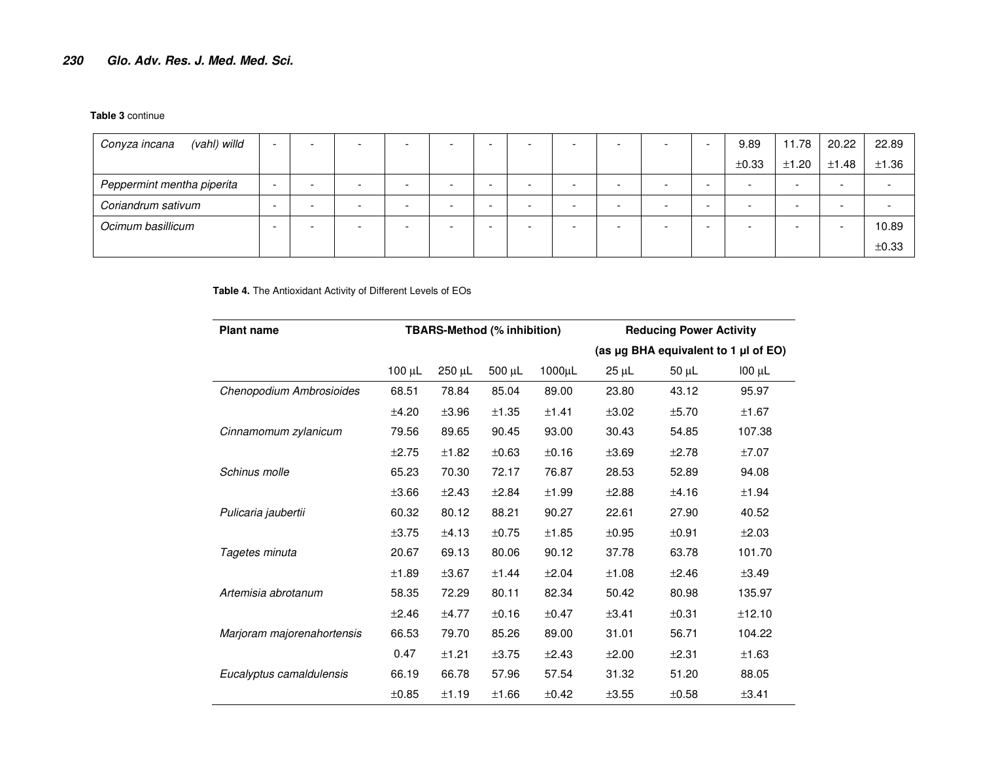#### **Table 3** continue

| (vahl) willd<br>Conyza incana | $\overline{\phantom{a}}$ |                          | -                        | -      | - |   |  |   |   | 9.89  | 11.78                    | 20.22 | 22.89                    |
|-------------------------------|--------------------------|--------------------------|--------------------------|--------|---|---|--|---|---|-------|--------------------------|-------|--------------------------|
|                               |                          |                          |                          |        |   |   |  |   |   | ±0.33 | ±1.20                    | ±1.48 | ±1.36                    |
| Peppermint mentha piperita    | $\overline{\phantom{0}}$ |                          | -                        | -      | - |   |  |   |   |       | $\overline{\phantom{0}}$ | -     | $\overline{\phantom{0}}$ |
| Coriandrum sativum            |                          | $\overline{\phantom{0}}$ | $\overline{\phantom{0}}$ | $\sim$ | - | - |  | - | - |       |                          |       | $\overline{\phantom{0}}$ |
| Ocimum basillicum             |                          |                          | -                        | -      | - |   |  |   |   |       |                          |       | 10.89                    |
|                               |                          |                          |                          |        |   |   |  |   |   |       |                          |       | ±0.33                    |

#### **Table 4.** The Antioxidant Activity of Different Levels of EOs

| <b>Plant name</b>          |             |            | <b>TBARS-Method (% inhibition)</b> |              | <b>Reducing Power Activity</b> |            |                                      |  |  |  |  |
|----------------------------|-------------|------------|------------------------------------|--------------|--------------------------------|------------|--------------------------------------|--|--|--|--|
|                            |             |            |                                    |              |                                |            | (as µg BHA equivalent to 1 µl of EO) |  |  |  |  |
|                            | $100 \mu L$ | 250 µL     | 500 µL                             | $1000 \mu L$ | $25 \mu L$                     | $50 \mu L$ | $100 \mu L$                          |  |  |  |  |
| Chenopodium Ambrosioides   | 68.51       | 78.84      | 85.04                              | 89.00        | 23.80                          | 43.12      | 95.97                                |  |  |  |  |
|                            | ±4.20       | $\pm 3.96$ | ±1.35                              | ±1.41        | ±3.02                          | ±5.70      | ±1.67                                |  |  |  |  |
| Cinnamomum zylanicum       | 79.56       | 89.65      | 90.45                              | 93.00        | 30.43                          | 54.85      | 107.38                               |  |  |  |  |
|                            | ±2.75       | ±1.82      | ±0.63                              | ±0.16        | ±3.69                          | ±2.78      | ±7.07                                |  |  |  |  |
| Schinus molle              | 65.23       | 70.30      | 72.17                              | 76.87        | 28.53                          | 52.89      | 94.08                                |  |  |  |  |
|                            | $\pm 3.66$  | ±2.43      | ±2.84                              | ±1.99        | ±2.88                          | ±4.16      | ±1.94                                |  |  |  |  |
| Pulicaria jaubertii        | 60.32       | 80.12      | 88.21                              | 90.27        | 22.61                          | 27.90      | 40.52                                |  |  |  |  |
|                            | ±3.75       | ±4.13      | ±0.75                              | ±1.85        | ±0.95                          | ±0.91      | ±2.03                                |  |  |  |  |
| Tagetes minuta             | 20.67       | 69.13      | 80.06                              | 90.12        | 37.78                          | 63.78      | 101.70                               |  |  |  |  |
|                            | ±1.89       | ±3.67      | ±1.44                              | ±2.04        | ±1.08                          | ±2.46      | ±3.49                                |  |  |  |  |
| Artemisia abrotanum        | 58.35       | 72.29      | 80.11                              | 82.34        | 50.42                          | 80.98      | 135.97                               |  |  |  |  |
|                            | ±2.46       | ±4.77      | ±0.16                              | ±0.47        | ±3.41                          | ±0.31      | ±12.10                               |  |  |  |  |
| Marjoram majorenahortensis | 66.53       | 79.70      | 85.26                              | 89.00        | 31.01                          | 56.71      | 104.22                               |  |  |  |  |
|                            | 0.47        | ±1.21      | ±3.75                              | ±2.43        | ±2.00                          | ±2.31      | ±1.63                                |  |  |  |  |
| Eucalyptus camaldulensis   | 66.19       | 66.78      | 57.96                              | 57.54        | 31.32                          | 51.20      | 88.05                                |  |  |  |  |
|                            | $\pm 0.85$  | ±1.19      | ±1.66                              | ±0.42        | $\pm 3.55$                     | $\pm 0.58$ | ±3.41                                |  |  |  |  |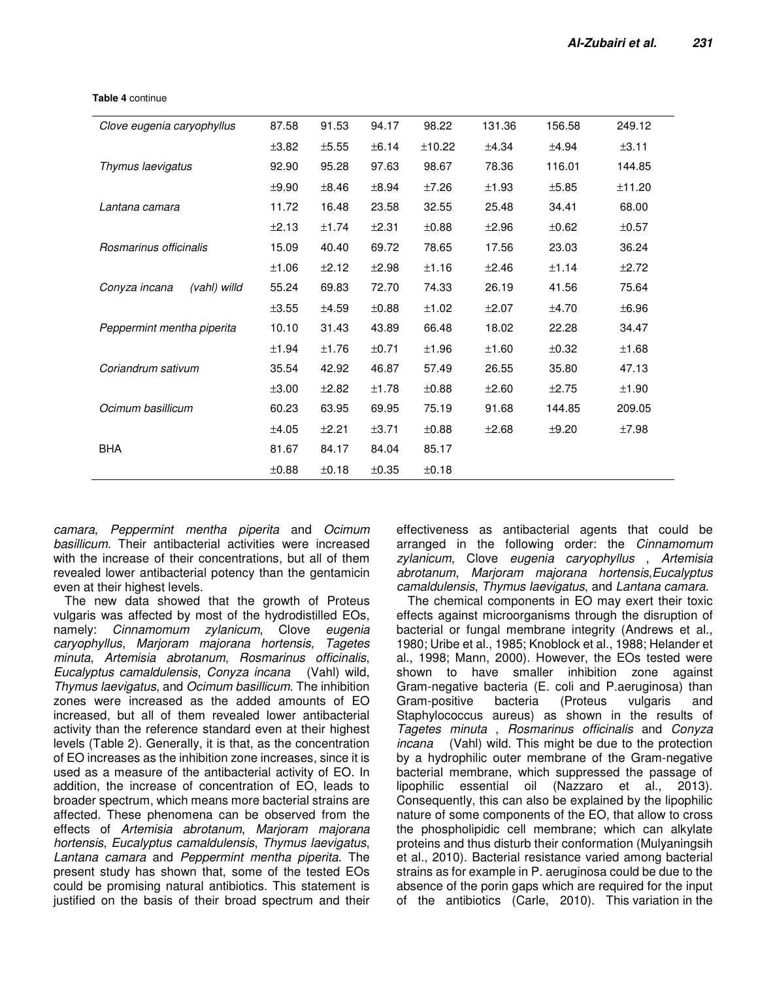| 87.58<br>94.17<br>98.22<br>131.36<br>156.58<br>249.12<br>Clove eugenia caryophyllus<br>91.53<br>±3.82<br>±5.55<br>±6.14<br>±10.22<br>±4.34<br>±4.94<br>±3.11<br>98.67<br>116.01<br>Thymus laevigatus<br>92.90<br>95.28<br>97.63<br>78.36<br>144.85<br>±9.90<br>$\pm 8.94$<br>±7.26<br>±1.93<br>±5.85<br>±11.20<br>$\pm 8.46$<br>11.72<br>23.58<br>32.55<br>25.48<br>34.41<br>68.00<br>16.48<br>Lantana camara<br>±0.88<br>±0.62<br>±2.13<br>±1.74<br>±2.31<br>±2.96<br>$\pm 0.57$<br>Rosmarinus officinalis<br>69.72<br>78.65<br>23.03<br>36.24<br>15.09<br>40.40<br>17.56<br>±1.16<br>±1.06<br>±2.12<br>±2.98<br>±2.46<br>±1.14<br>±2.72<br>75.64<br>Conyza incana<br>(vahl) willd<br>55.24<br>69.83<br>72.70<br>74.33<br>26.19<br>41.56<br>±3.55<br>±0.88<br>±1.02<br>±2.07<br>±4.70<br>±6.96<br>±4.59<br>18.02<br>Peppermint mentha piperita<br>10.10<br>43.89<br>66.48<br>22.28<br>34.47<br>31.43<br>±0.71<br>±1.96<br>±1.60<br>±0.32<br>±1.68<br>±1.94<br>±1.76<br>35.80<br>35.54<br>46.87<br>57.49<br>26.55<br>47.13<br>Coriandrum sativum<br>42.92<br>±1.78<br>±0.88<br>±2.60<br>±3.00<br>±2.82<br>±2.75<br>±1.90<br>Ocimum basillicum<br>75.19<br>91.68<br>209.05<br>60.23<br>63.95<br>69.95<br>144.85<br>±4.05<br>±2.21<br>±3.71<br>±0.88<br>±2.68<br>±9.20<br>±7.98<br><b>BHA</b><br>85.17<br>81.67<br>84.17<br>84.04<br>±0.88<br>±0.18<br>$\pm 0.35$<br>±0.18 |  |  |  |  |
|--------------------------------------------------------------------------------------------------------------------------------------------------------------------------------------------------------------------------------------------------------------------------------------------------------------------------------------------------------------------------------------------------------------------------------------------------------------------------------------------------------------------------------------------------------------------------------------------------------------------------------------------------------------------------------------------------------------------------------------------------------------------------------------------------------------------------------------------------------------------------------------------------------------------------------------------------------------------------------------------------------------------------------------------------------------------------------------------------------------------------------------------------------------------------------------------------------------------------------------------------------------------------------------------------------------------------------------------------------------------------|--|--|--|--|
|                                                                                                                                                                                                                                                                                                                                                                                                                                                                                                                                                                                                                                                                                                                                                                                                                                                                                                                                                                                                                                                                                                                                                                                                                                                                                                                                                                          |  |  |  |  |
|                                                                                                                                                                                                                                                                                                                                                                                                                                                                                                                                                                                                                                                                                                                                                                                                                                                                                                                                                                                                                                                                                                                                                                                                                                                                                                                                                                          |  |  |  |  |
|                                                                                                                                                                                                                                                                                                                                                                                                                                                                                                                                                                                                                                                                                                                                                                                                                                                                                                                                                                                                                                                                                                                                                                                                                                                                                                                                                                          |  |  |  |  |
|                                                                                                                                                                                                                                                                                                                                                                                                                                                                                                                                                                                                                                                                                                                                                                                                                                                                                                                                                                                                                                                                                                                                                                                                                                                                                                                                                                          |  |  |  |  |
|                                                                                                                                                                                                                                                                                                                                                                                                                                                                                                                                                                                                                                                                                                                                                                                                                                                                                                                                                                                                                                                                                                                                                                                                                                                                                                                                                                          |  |  |  |  |
|                                                                                                                                                                                                                                                                                                                                                                                                                                                                                                                                                                                                                                                                                                                                                                                                                                                                                                                                                                                                                                                                                                                                                                                                                                                                                                                                                                          |  |  |  |  |
|                                                                                                                                                                                                                                                                                                                                                                                                                                                                                                                                                                                                                                                                                                                                                                                                                                                                                                                                                                                                                                                                                                                                                                                                                                                                                                                                                                          |  |  |  |  |
|                                                                                                                                                                                                                                                                                                                                                                                                                                                                                                                                                                                                                                                                                                                                                                                                                                                                                                                                                                                                                                                                                                                                                                                                                                                                                                                                                                          |  |  |  |  |
|                                                                                                                                                                                                                                                                                                                                                                                                                                                                                                                                                                                                                                                                                                                                                                                                                                                                                                                                                                                                                                                                                                                                                                                                                                                                                                                                                                          |  |  |  |  |
|                                                                                                                                                                                                                                                                                                                                                                                                                                                                                                                                                                                                                                                                                                                                                                                                                                                                                                                                                                                                                                                                                                                                                                                                                                                                                                                                                                          |  |  |  |  |
|                                                                                                                                                                                                                                                                                                                                                                                                                                                                                                                                                                                                                                                                                                                                                                                                                                                                                                                                                                                                                                                                                                                                                                                                                                                                                                                                                                          |  |  |  |  |
|                                                                                                                                                                                                                                                                                                                                                                                                                                                                                                                                                                                                                                                                                                                                                                                                                                                                                                                                                                                                                                                                                                                                                                                                                                                                                                                                                                          |  |  |  |  |
|                                                                                                                                                                                                                                                                                                                                                                                                                                                                                                                                                                                                                                                                                                                                                                                                                                                                                                                                                                                                                                                                                                                                                                                                                                                                                                                                                                          |  |  |  |  |
|                                                                                                                                                                                                                                                                                                                                                                                                                                                                                                                                                                                                                                                                                                                                                                                                                                                                                                                                                                                                                                                                                                                                                                                                                                                                                                                                                                          |  |  |  |  |
|                                                                                                                                                                                                                                                                                                                                                                                                                                                                                                                                                                                                                                                                                                                                                                                                                                                                                                                                                                                                                                                                                                                                                                                                                                                                                                                                                                          |  |  |  |  |
|                                                                                                                                                                                                                                                                                                                                                                                                                                                                                                                                                                                                                                                                                                                                                                                                                                                                                                                                                                                                                                                                                                                                                                                                                                                                                                                                                                          |  |  |  |  |
|                                                                                                                                                                                                                                                                                                                                                                                                                                                                                                                                                                                                                                                                                                                                                                                                                                                                                                                                                                                                                                                                                                                                                                                                                                                                                                                                                                          |  |  |  |  |
|                                                                                                                                                                                                                                                                                                                                                                                                                                                                                                                                                                                                                                                                                                                                                                                                                                                                                                                                                                                                                                                                                                                                                                                                                                                                                                                                                                          |  |  |  |  |

**Table 4** continue

camara, Peppermint mentha piperita and Ocimum basillicum. Their antibacterial activities were increased with the increase of their concentrations, but all of them revealed lower antibacterial potency than the gentamicin even at their highest levels.

The new data showed that the growth of Proteus vulgaris was affected by most of the hydrodistilled EOs, namely: Cinnamomum zylanicum, Clove eugenia caryophyllus, Marjoram majorana hortensis, Tagetes minuta, Artemisia abrotanum, Rosmarinus officinalis, Eucalyptus camaldulensis, Conyza incana (Vahl) wild, Thymus laevigatus, and Ocimum basillicum. The inhibition zones were increased as the added amounts of EO increased, but all of them revealed lower antibacterial activity than the reference standard even at their highest levels (Table 2). Generally, it is that, as the concentration of EO increases as the inhibition zone increases, since it is used as a measure of the antibacterial activity of EO. In addition, the increase of concentration of EO, leads to broader spectrum, which means more bacterial strains are affected. These phenomena can be observed from the effects of Artemisia abrotanum, Marjoram majorana hortensis, Eucalyptus camaldulensis, Thymus laevigatus, Lantana camara and Peppermint mentha piperita. The present study has shown that, some of the tested EOs could be promising natural antibiotics. This statement is justified on the basis of their broad spectrum and their effectiveness as antibacterial agents that could be arranged in the following order: the Cinnamomum zylanicum, Clove eugenia caryophyllus , Artemisia abrotanum, Marjoram majorana hortensis,Eucalyptus camaldulensis, Thymus laevigatus, and Lantana camara.

The chemical components in EO may exert their toxic effects against microorganisms through the disruption of bacterial or fungal membrane integrity (Andrews et al., 1980; Uribe et al., 1985; Knoblock et al., 1988; Helander et al., 1998; Mann, 2000). However, the EOs tested were shown to have smaller inhibition zone against Gram-negative bacteria (E. coli and P.aeruginosa) than Gram-positive bacteria (Proteus vulgaris and Staphylococcus aureus) as shown in the results of Tagetes minuta , Rosmarinus officinalis and Conyza incana (Vahl) wild. This might be due to the protection by a hydrophilic outer membrane of the Gram-negative bacterial membrane, which suppressed the passage of lipophilic essential oil (Nazzaro et al., 2013). Consequently, this can also be explained by the lipophilic nature of some components of the EO, that allow to cross the phospholipidic cell membrane; which can alkylate proteins and thus disturb their conformation (Mulyaningsih et al., 2010). Bacterial resistance varied among bacterial strains as for example in P. aeruginosa could be due to the absence of the porin gaps which are required for the input of the antibiotics (Carle, 2010). This variation in the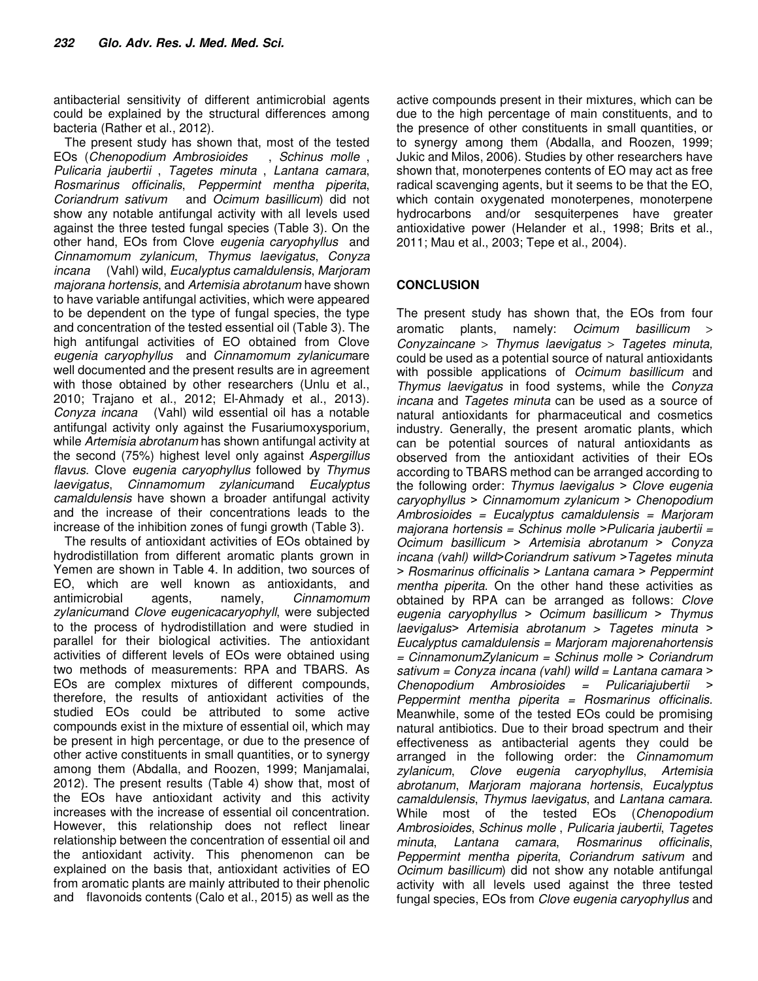antibacterial sensitivity of different antimicrobial agents could be explained by the structural differences among bacteria (Rather et al., 2012).

The present study has shown that, most of the tested<br>Os (Chenopodium Ambrosioides, Schinus molle, EOs (Chenopodium Ambrosioides Pulicaria jaubertii , Tagetes minuta , Lantana camara, Rosmarinus officinalis, Peppermint mentha piperita, Coriandrum sativum and Ocimum basillicum) did not show any notable antifungal activity with all levels used against the three tested fungal species (Table 3). On the other hand, EOs from Clove eugenia caryophyllus and Cinnamomum zylanicum, Thymus laevigatus, Conyza incana (Vahl) wild, Eucalyptus camaldulensis, Marjoram majorana hortensis, and Artemisia abrotanum have shown to have variable antifungal activities, which were appeared to be dependent on the type of fungal species, the type and concentration of the tested essential oil (Table 3). The high antifungal activities of EO obtained from Clove eugenia caryophyllus and Cinnamomum zylanicumare well documented and the present results are in agreement with those obtained by other researchers (Unlu et al., 2010; Trajano et al., 2012; El-Ahmady et al., 2013). Conyza incana (Vahl) wild essential oil has a notable antifungal activity only against the Fusariumoxysporium, while Artemisia abrotanum has shown antifungal activity at the second (75%) highest level only against Aspergillus flavus. Clove eugenia caryophyllus followed by Thymus laevigatus, Cinnamomum zylanicumand Eucalyptus camaldulensis have shown a broader antifungal activity and the increase of their concentrations leads to the increase of the inhibition zones of fungi growth (Table 3).

The results of antioxidant activities of EOs obtained by hydrodistillation from different aromatic plants grown in Yemen are shown in Table 4. In addition, two sources of EO, which are well known as antioxidants, and antimicrobial agents, namely, Cinnamomum zylanicumand Clove eugenicacaryophyll, were subjected to the process of hydrodistillation and were studied in parallel for their biological activities. The antioxidant activities of different levels of EOs were obtained using two methods of measurements: RPA and TBARS. As EOs are complex mixtures of different compounds, therefore, the results of antioxidant activities of the studied EOs could be attributed to some active compounds exist in the mixture of essential oil, which may be present in high percentage, or due to the presence of other active constituents in small quantities, or to synergy among them (Abdalla, and Roozen, 1999; Manjamalai, 2012). The present results (Table 4) show that, most of the EOs have antioxidant activity and this activity increases with the increase of essential oil concentration. However, this relationship does not reflect linear relationship between the concentration of essential oil and the antioxidant activity. This phenomenon can be explained on the basis that, antioxidant activities of EO from aromatic plants are mainly attributed to their phenolic and flavonoids contents (Calo et al., 2015) as well as the active compounds present in their mixtures, which can be due to the high percentage of main constituents, and to the presence of other constituents in small quantities, or to synergy among them (Abdalla, and Roozen, 1999; Jukic and Milos, 2006). Studies by other researchers have shown that, monoterpenes contents of EO may act as free radical scavenging agents, but it seems to be that the EO, which contain oxygenated monoterpenes, monoterpene hydrocarbons and/or sesquiterpenes have greater antioxidative power (Helander et al., 1998; Brits et al., 2011; Mau et al., 2003; Tepe et al., 2004).

### **CONCLUSION**

The present study has shown that, the EOs from four aromatic plants, namely: Ocimum basillicum > Conyzaincane > Thymus laevigatus > Tagetes minuta, could be used as a potential source of natural antioxidants with possible applications of *Ocimum basillicum* and Thymus laevigatus in food systems, while the Conyza incana and Tagetes minuta can be used as a source of natural antioxidants for pharmaceutical and cosmetics industry. Generally, the present aromatic plants, which can be potential sources of natural antioxidants as observed from the antioxidant activities of their EOs according to TBARS method can be arranged according to the following order: Thymus laevigalus *˃* Clove eugenia caryophyllus *˃* Cinnamomum zylanicum *˃* Chenopodium  $Ambrosioides = Eucalyptus camaldulensis = Marjoram$ majorana hortensis = Schinus molle *˃*Pulicaria jaubertii = Ocimum basillicum *˃* Artemisia abrotanum *˃* Conyza incana (vahl) willd*˃*Coriandrum sativum *˃*Tagetes minuta *˃* Rosmarinus officinalis *˃* Lantana camara *˃* Peppermint mentha piperita. On the other hand these activities as obtained by RPA can be arranged as follows: Clove eugenia caryophyllus *˃* Ocimum basillicum *˃* Thymus laevigalus*˃* Artemisia abrotanum > Tagetes minuta *˃* Eucalyptus camaldulensis = Marjoram majorenahortensis = CinnamonumZylanicum = Schinus molle *˃* Coriandrum sativum = Conyza incana (vahl) willd = Lantana camara *˃* Chenopodium Ambrosioides = Pulicariajubertii *˃* Peppermint mentha piperita = Rosmarinus officinalis. Meanwhile, some of the tested EOs could be promising natural antibiotics. Due to their broad spectrum and their effectiveness as antibacterial agents they could be arranged in the following order: the Cinnamomum zylanicum, Clove eugenia caryophyllus, Artemisia abrotanum, Marjoram majorana hortensis, Eucalyptus camaldulensis, Thymus laevigatus, and Lantana camara. While most of the tested EOs (Chenopodium Ambrosioides, Schinus molle , Pulicaria jaubertii, Tagetes minuta, Lantana camara, Rosmarinus officinalis, Peppermint mentha piperita, Coriandrum sativum and Ocimum basillicum) did not show any notable antifungal activity with all levels used against the three tested fungal species, EOs from Clove eugenia caryophyllus and